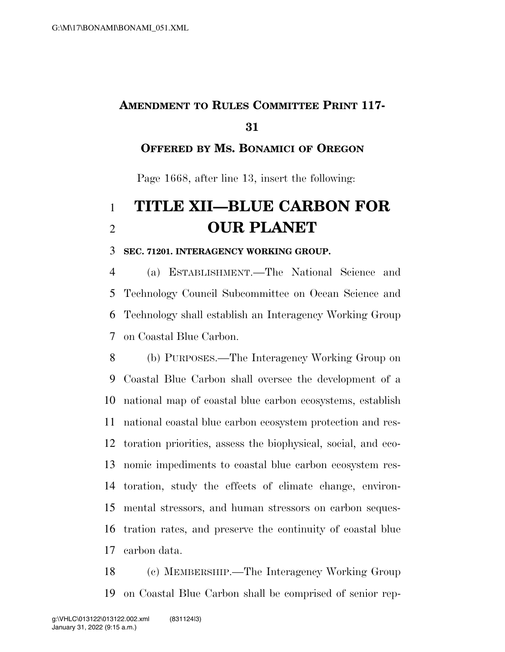## **AMENDMENT TO RULES COMMITTEE PRINT 117-**

### **OFFERED BY MS. BONAMICI OF OREGON**

Page 1668, after line 13, insert the following:

# **TITLE XII—BLUE CARBON FOR OUR PLANET**

#### **SEC. 71201. INTERAGENCY WORKING GROUP.**

 (a) ESTABLISHMENT.—The National Science and Technology Council Subcommittee on Ocean Science and Technology shall establish an Interagency Working Group on Coastal Blue Carbon.

 (b) PURPOSES.—The Interagency Working Group on Coastal Blue Carbon shall oversee the development of a national map of coastal blue carbon ecosystems, establish national coastal blue carbon ecosystem protection and res- toration priorities, assess the biophysical, social, and eco- nomic impediments to coastal blue carbon ecosystem res- toration, study the effects of climate change, environ- mental stressors, and human stressors on carbon seques- tration rates, and preserve the continuity of coastal blue carbon data.

 (c) MEMBERSHIP.—The Interagency Working Group on Coastal Blue Carbon shall be comprised of senior rep-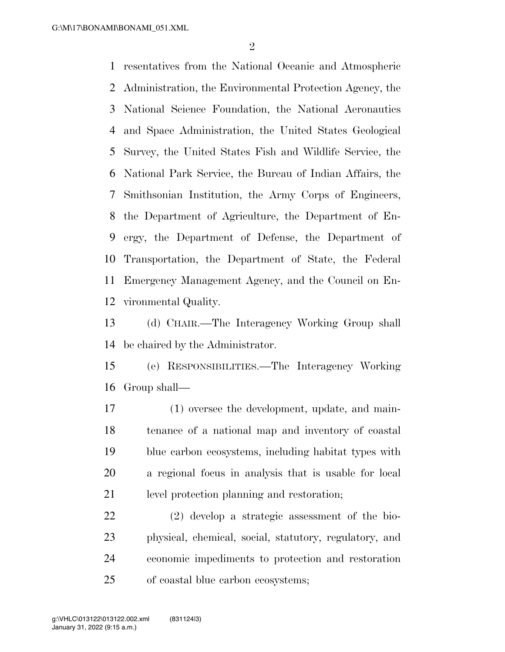resentatives from the National Oceanic and Atmospheric Administration, the Environmental Protection Agency, the National Science Foundation, the National Aeronautics and Space Administration, the United States Geological Survey, the United States Fish and Wildlife Service, the National Park Service, the Bureau of Indian Affairs, the Smithsonian Institution, the Army Corps of Engineers, the Department of Agriculture, the Department of En- ergy, the Department of Defense, the Department of Transportation, the Department of State, the Federal Emergency Management Agency, and the Council on En-vironmental Quality.

 (d) CHAIR.—The Interagency Working Group shall be chaired by the Administrator.

 (e) RESPONSIBILITIES.—The Interagency Working Group shall—

 (1) oversee the development, update, and main- tenance of a national map and inventory of coastal blue carbon ecosystems, including habitat types with a regional focus in analysis that is usable for local level protection planning and restoration;

 (2) develop a strategic assessment of the bio- physical, chemical, social, statutory, regulatory, and economic impediments to protection and restoration of coastal blue carbon ecosystems;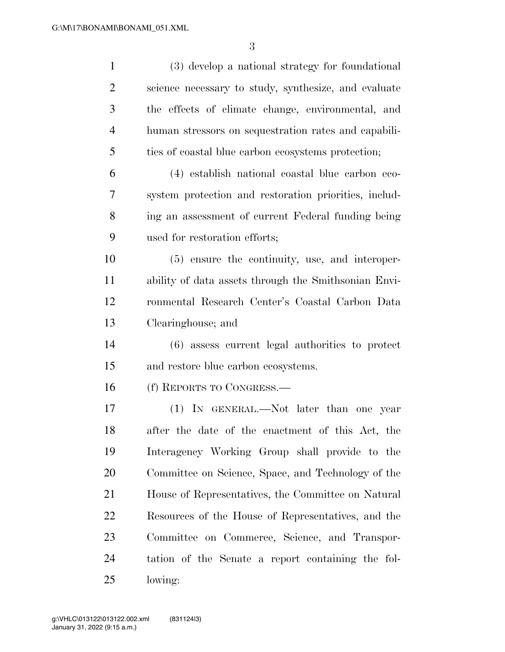| $\mathbf{1}$   | (3) develop a national strategy for foundational      |
|----------------|-------------------------------------------------------|
| $\overline{2}$ | science necessary to study, synthesize, and evaluate  |
| 3              | the effects of climate change, environmental, and     |
| $\overline{4}$ | human stressors on sequestration rates and capabili-  |
| 5              | ties of coastal blue carbon ecosystems protection;    |
| 6              | (4) establish national coastal blue carbon eco-       |
| 7              | system protection and restoration priorities, includ- |
| 8              | ing an assessment of current Federal funding being    |
| 9              | used for restoration efforts;                         |
| 10             | (5) ensure the continuity, use, and interoper-        |
| 11             | ability of data assets through the Smithsonian Envi-  |
| 12             | ronmental Research Center's Coastal Carbon Data       |
| 13             | Clearinghouse; and                                    |
| 14             | (6) assess current legal authorities to protect       |
| 15             | and restore blue carbon ecosystems.                   |
| 16             | (f) REPORTS TO CONGRESS.—                             |
| 17             | (1) IN GENERAL.—Not later than one year               |
| 18             | after the date of the enactment of this Act, the      |
| 19             | Interagency Working Group shall provide to the        |
| 20             | Committee on Science, Space, and Technology of the    |
| 21             | House of Representatives, the Committee on Natural    |
| 22             | Resources of the House of Representatives, and the    |
| 23             | Committee on Commerce, Science, and Transpor-         |
| 24             | tation of the Senate a report containing the fol-     |
| 25             | lowing:                                               |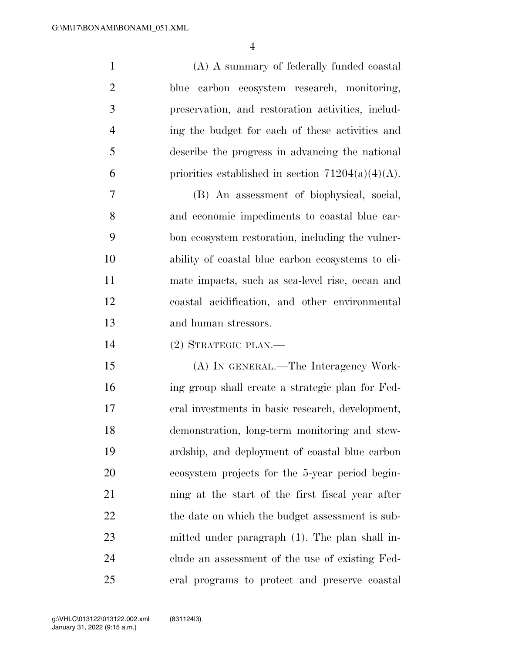(A) A summary of federally funded coastal blue carbon ecosystem research, monitoring, preservation, and restoration activities, includ- ing the budget for each of these activities and describe the progress in advancing the national 6 priorities established in section  $71204(a)(4)(A)$ .

 (B) An assessment of biophysical, social, and economic impediments to coastal blue car- bon ecosystem restoration, including the vulner- ability of coastal blue carbon ecosystems to cli- mate impacts, such as sea-level rise, ocean and coastal acidification, and other environmental and human stressors.

(2) STRATEGIC PLAN.—

 (A) IN GENERAL.—The Interagency Work- ing group shall create a strategic plan for Fed- eral investments in basic research, development, demonstration, long-term monitoring and stew- ardship, and deployment of coastal blue carbon ecosystem projects for the 5-year period begin- ning at the start of the first fiscal year after 22 the date on which the budget assessment is sub- mitted under paragraph (1). The plan shall in- clude an assessment of the use of existing Fed-eral programs to protect and preserve coastal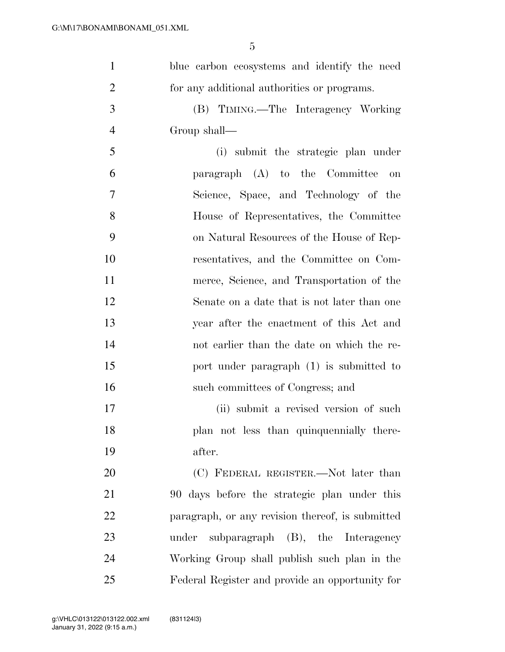| $\mathbf{1}$   | blue carbon ecosystems and identify the need     |
|----------------|--------------------------------------------------|
| $\overline{2}$ | for any additional authorities or programs.      |
| 3              | (B) TIMING.—The Interagency Working              |
| $\overline{4}$ | Group shall-                                     |
| 5              | (i) submit the strategic plan under              |
| 6              | paragraph (A) to the Committee<br><b>on</b>      |
| 7              | Science, Space, and Technology of the            |
| 8              | House of Representatives, the Committee          |
| 9              | on Natural Resources of the House of Rep-        |
| 10             | resentatives, and the Committee on Com-          |
| 11             | merce, Science, and Transportation of the        |
| 12             | Senate on a date that is not later than one      |
| 13             | year after the enactment of this Act and         |
| 14             | not earlier than the date on which the re-       |
| 15             | port under paragraph (1) is submitted to         |
| 16             | such committees of Congress; and                 |
| 17             | (ii) submit a revised version of such            |
| 18             | plan not less than quinquennially there-         |
| 19             | after.                                           |
| 20             | (C) FEDERAL REGISTER.—Not later than             |
| 21             | 90 days before the strategic plan under this     |
| 22             | paragraph, or any revision thereof, is submitted |
| 23             | under subparagraph (B), the Interagency          |
| 24             | Working Group shall publish such plan in the     |
| 25             | Federal Register and provide an opportunity for  |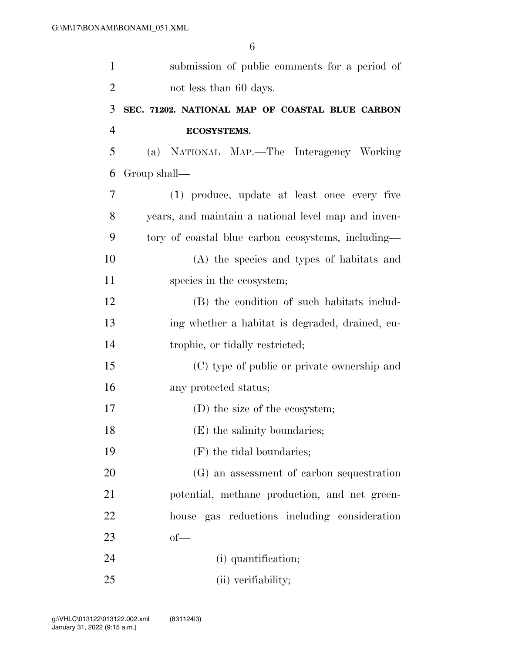| $\mathbf{1}$   | submission of public comments for a period of       |
|----------------|-----------------------------------------------------|
| $\overline{2}$ | not less than 60 days.                              |
| 3              | SEC. 71202. NATIONAL MAP OF COASTAL BLUE CARBON     |
| $\overline{4}$ | <b>ECOSYSTEMS.</b>                                  |
| 5              | (a) NATIONAL MAP.—The Interagency Working           |
| 6              | Group shall-                                        |
| 7              | (1) produce, update at least once every five        |
| 8              | years, and maintain a national level map and inven- |
| 9              | tory of coastal blue carbon ecosystems, including—  |
| 10             | (A) the species and types of habitats and           |
| 11             | species in the ecosystem;                           |
| 12             | (B) the condition of such habitats includ-          |
| 13             | ing whether a habitat is degraded, drained, eu-     |
| 14             | trophic, or tidally restricted;                     |
| 15             | (C) type of public or private ownership and         |
| 16             | any protected status;                               |
| 17             | (D) the size of the ecosystem;                      |
| 18             | (E) the salinity boundaries;                        |
| 19             | (F) the tidal boundaries;                           |
| 20             | (G) an assessment of carbon sequestration           |
| 21             | potential, methane production, and net green-       |
| 22             | house gas reductions including consideration        |
| 23             | $of$ —                                              |
| 24             | (i) quantification;                                 |
| 25             | (ii) verifiability;                                 |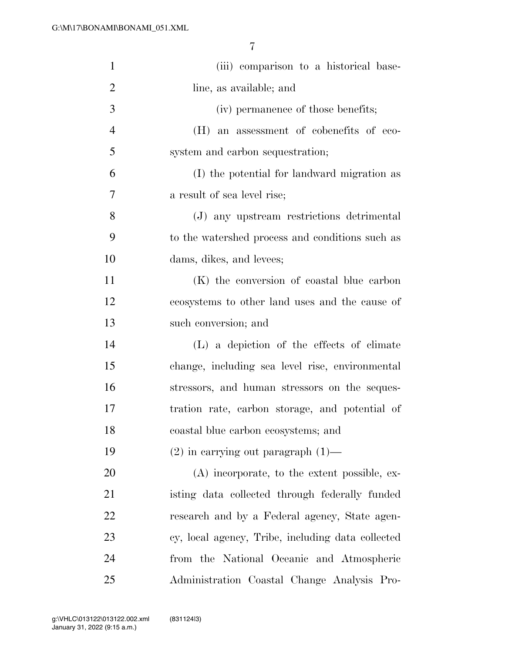| $\mathbf{1}$   | (iii) comparison to a historical base-            |
|----------------|---------------------------------------------------|
| $\overline{2}$ | line, as available; and                           |
| 3              | (iv) permanence of those benefits;                |
| $\overline{4}$ | (H) an assessment of cobenefits of eco-           |
| 5              | system and carbon sequestration;                  |
| 6              | (I) the potential for landward migration as       |
| 7              | a result of sea level rise;                       |
| 8              | (J) any upstream restrictions detrimental         |
| 9              | to the watershed process and conditions such as   |
| 10             | dams, dikes, and levees;                          |
| 11             | (K) the conversion of coastal blue carbon         |
| 12             | ecosystems to other land uses and the cause of    |
| 13             | such conversion; and                              |
| 14             | (L) a depiction of the effects of climate         |
| 15             | change, including sea level rise, environmental   |
| 16             | stressors, and human stressors on the seques-     |
| 17             | tration rate, carbon storage, and potential of    |
| 18             | coastal blue carbon ecosystems; and               |
| 19             | $(2)$ in carrying out paragraph $(1)$ —           |
| 20             | (A) incorporate, to the extent possible, ex-      |
| 21             | isting data collected through federally funded    |
| 22             | research and by a Federal agency, State agen-     |
| 23             | cy, local agency, Tribe, including data collected |
| 24             | from the National Oceanic and Atmospheric         |
| 25             | Administration Coastal Change Analysis Pro-       |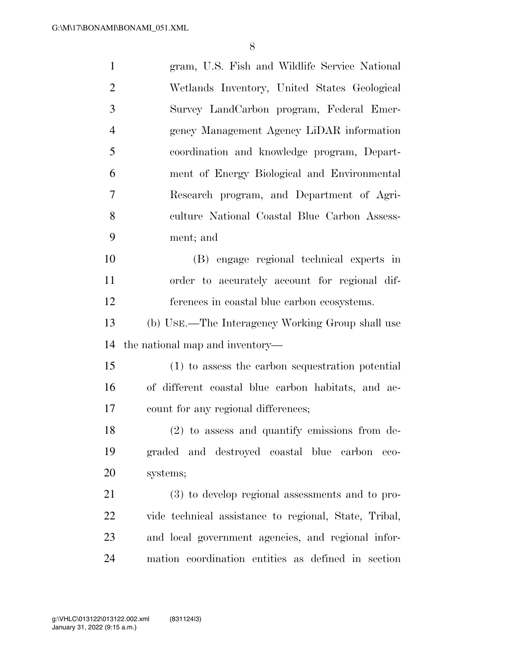| $\mathbf{1}$   | gram, U.S. Fish and Wildlife Service National         |
|----------------|-------------------------------------------------------|
| $\overline{2}$ | Wetlands Inventory, United States Geological          |
| 3              | Survey LandCarbon program, Federal Emer-              |
| $\overline{4}$ | gency Management Agency LiDAR information             |
| 5              | coordination and knowledge program, Depart-           |
| 6              | ment of Energy Biological and Environmental           |
| 7              | Research program, and Department of Agri-             |
| 8              | culture National Coastal Blue Carbon Assess-          |
| 9              | ment; and                                             |
| 10             | (B) engage regional technical experts in              |
| 11             | order to accurately account for regional dif-         |
| 12             | ferences in coastal blue carbon ecosystems.           |
| 13             | (b) USE.—The Interagency Working Group shall use      |
| 14             | the national map and inventory—                       |
| 15             | (1) to assess the carbon sequestration potential      |
| 16             | of different coastal blue carbon habitats, and ac-    |
| 17             | count for any regional differences;                   |
| 18             | (2) to assess and quantify emissions from de-         |
| 19             | graded and destroyed coastal blue<br>carbon<br>eco-   |
| 20             | systems;                                              |
| 21             | (3) to develop regional assessments and to pro-       |
| 22             | vide technical assistance to regional, State, Tribal, |
| 23             | and local government agencies, and regional infor-    |
| 24             | mation coordination entities as defined in section    |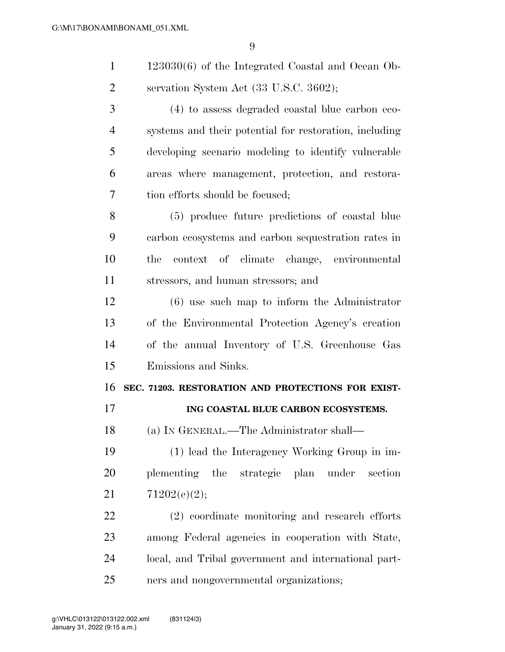| $\mathbf{1}$   | $123030(6)$ of the Integrated Coastal and Ocean Ob-    |
|----------------|--------------------------------------------------------|
| $\overline{2}$ | servation System Act (33 U.S.C. 3602);                 |
| 3              | (4) to assess degraded coastal blue carbon eco-        |
| $\overline{4}$ | systems and their potential for restoration, including |
| 5              | developing scenario modeling to identify vulnerable    |
| 6              | areas where management, protection, and restora-       |
| 7              | tion efforts should be focused;                        |
| 8              | (5) produce future predictions of coastal blue         |
| 9              | carbon ecosystems and carbon sequestration rates in    |
| 10             | context of climate change, environmental<br>the        |
| 11             | stressors, and human stressors; and                    |
| 12             | $(6)$ use such map to inform the Administrator         |
| 13             | of the Environmental Protection Agency's creation      |
| 14             | of the annual Inventory of U.S. Greenhouse Gas         |
| 15             | Emissions and Sinks.                                   |
| 16             | SEC. 71203. RESTORATION AND PROTECTIONS FOR EXIST-     |
| 17             | ING COASTAL BLUE CARBON ECOSYSTEMS.                    |
| 18             | (a) IN GENERAL.—The Administrator shall—               |
| 19             | (1) lead the Interagency Working Group in im-          |
| 20             | plementing the strategic plan under<br>section         |
| 21             | 71202(e)(2);                                           |
|                |                                                        |

 among Federal agencies in cooperation with State, local, and Tribal government and international part-ners and nongovernmental organizations;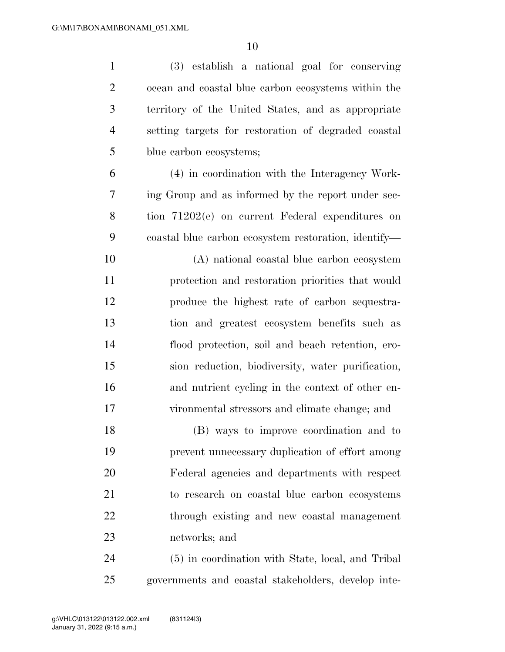| $\mathbf{1}$   | (3) establish a national goal for conserving         |
|----------------|------------------------------------------------------|
| $\overline{2}$ | ocean and coastal blue carbon ecosystems within the  |
| 3              | territory of the United States, and as appropriate   |
| $\overline{4}$ | setting targets for restoration of degraded coastal  |
| 5              | blue carbon ecosystems;                              |
| 6              | (4) in coordination with the Interagency Work-       |
| 7              | ing Group and as informed by the report under sec-   |
| 8              | tion 71202(e) on current Federal expenditures on     |
| 9              | coastal blue carbon ecosystem restoration, identify— |
| 10             | (A) national coastal blue carbon ecosystem           |
| 11             | protection and restoration priorities that would     |
| 12             | produce the highest rate of carbon sequestra-        |
| 13             | tion and greatest ecosystem benefits such as         |
| 14             | flood protection, soil and beach retention, ero-     |
| 15             | sion reduction, biodiversity, water purification,    |
| 16             | and nutrient cycling in the context of other en-     |
| 17             | vironmental stressors and climate change; and        |
| 18             | (B) ways to improve coordination and to              |
| 19             | prevent unnecessary duplication of effort among      |
| 20             | Federal agencies and departments with respect        |
| 21             | to research on coastal blue carbon ecosystems        |
| <u>22</u>      | through existing and new coastal management          |
| 23             | networks; and                                        |
| 24             | (5) in coordination with State, local, and Tribal    |
| 25             | governments and coastal stakeholders, develop inte-  |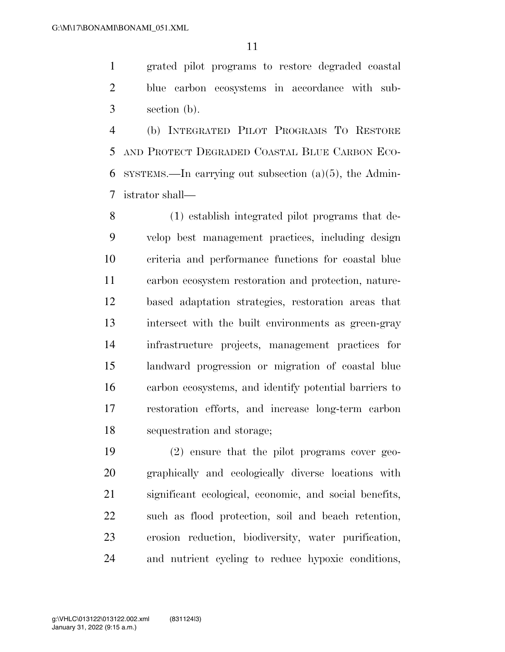grated pilot programs to restore degraded coastal blue carbon ecosystems in accordance with sub-section (b).

 (b) INTEGRATED PILOT PROGRAMS TO RESTORE AND PROTECT DEGRADED COASTAL BLUE CARBON ECO-6 SYSTEMS.—In carrying out subsection  $(a)(5)$ , the Admin-istrator shall—

 (1) establish integrated pilot programs that de- velop best management practices, including design criteria and performance functions for coastal blue carbon ecosystem restoration and protection, nature- based adaptation strategies, restoration areas that intersect with the built environments as green-gray infrastructure projects, management practices for landward progression or migration of coastal blue carbon ecosystems, and identify potential barriers to restoration efforts, and increase long-term carbon sequestration and storage;

 (2) ensure that the pilot programs cover geo- graphically and ecologically diverse locations with significant ecological, economic, and social benefits, such as flood protection, soil and beach retention, erosion reduction, biodiversity, water purification, and nutrient cycling to reduce hypoxic conditions,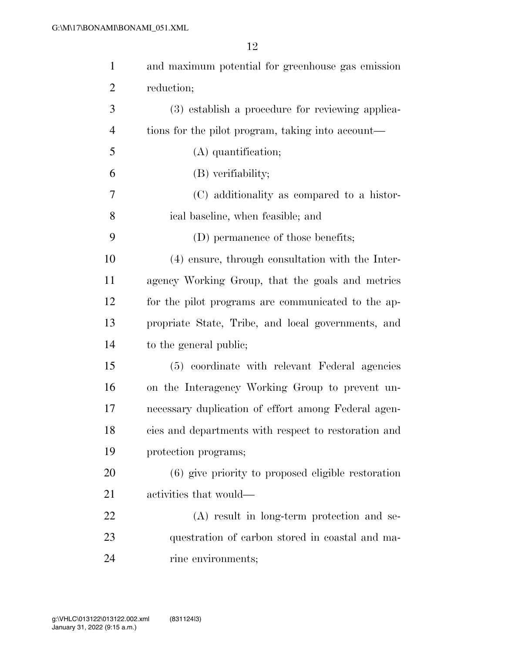| $\mathbf{1}$   | and maximum potential for greenhouse gas emission    |
|----------------|------------------------------------------------------|
| $\overline{2}$ | reduction;                                           |
| 3              | (3) establish a procedure for reviewing applica-     |
| $\overline{4}$ | tions for the pilot program, taking into account—    |
| 5              | (A) quantification;                                  |
| 6              | (B) verifiability;                                   |
| 7              | (C) additionality as compared to a histor-           |
| 8              | ical baseline, when feasible; and                    |
| 9              | (D) permanence of those benefits;                    |
| 10             | (4) ensure, through consultation with the Inter-     |
| 11             | agency Working Group, that the goals and metrics     |
| 12             | for the pilot programs are communicated to the ap-   |
| 13             | propriate State, Tribe, and local governments, and   |
| 14             | to the general public;                               |
| 15             | (5) coordinate with relevant Federal agencies        |
| 16             | on the Interagency Working Group to prevent un-      |
| 17             | necessary duplication of effort among Federal agen-  |
| 18             | cies and departments with respect to restoration and |
| 19             | protection programs;                                 |
| 20             | (6) give priority to proposed eligible restoration   |
| 21             | activities that would—                               |
| 22             | (A) result in long-term protection and se-           |
| 23             | questration of carbon stored in coastal and ma-      |
| 24             | rine environments;                                   |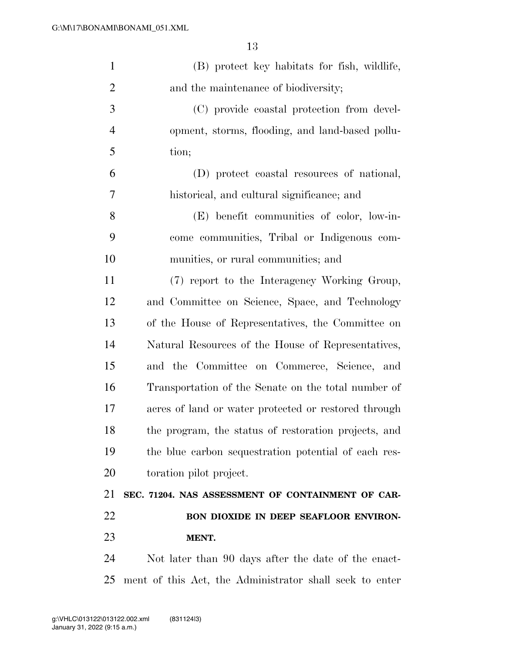| $\mathbf{1}$   | (B) protect key habitats for fish, wildlife,            |
|----------------|---------------------------------------------------------|
| $\overline{2}$ | and the maintenance of biodiversity;                    |
| 3              | (C) provide coastal protection from devel-              |
| $\overline{4}$ | opment, storms, flooding, and land-based pollu-         |
| 5              | tion;                                                   |
| 6              | (D) protect coastal resources of national,              |
| 7              | historical, and cultural significance; and              |
| 8              | (E) benefit communities of color, low-in-               |
| 9              | come communities, Tribal or Indigenous com-             |
| 10             | munities, or rural communities; and                     |
| 11             | (7) report to the Interagency Working Group,            |
| 12             | and Committee on Science, Space, and Technology         |
| 13             | of the House of Representatives, the Committee on       |
| 14             | Natural Resources of the House of Representatives,      |
| 15             | and the Committee on Commerce, Science, and             |
| 16             | Transportation of the Senate on the total number of     |
| 17             | acres of land or water protected or restored through    |
| 18             | the program, the status of restoration projects, and    |
| 19             | the blue carbon sequestration potential of each res-    |
| 20             | toration pilot project.                                 |
| 21             | SEC. 71204. NAS ASSESSMENT OF CONTAINMENT OF CAR-       |
| 22             | BON DIOXIDE IN DEEP SEAFLOOR ENVIRON-                   |
| 23             | MENT.                                                   |
| 24             | Not later than 90 days after the date of the enact-     |
| 25             | ment of this Act, the Administrator shall seek to enter |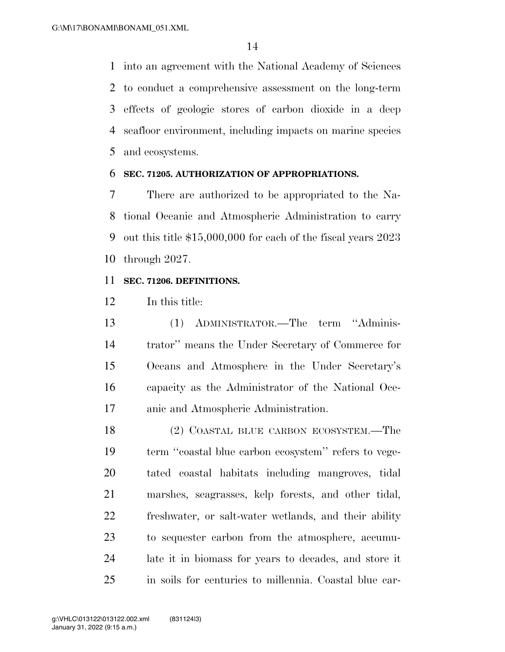into an agreement with the National Academy of Sciences to conduct a comprehensive assessment on the long-term effects of geologic stores of carbon dioxide in a deep seafloor environment, including impacts on marine species and ecosystems.

#### **SEC. 71205. AUTHORIZATION OF APPROPRIATIONS.**

 There are authorized to be appropriated to the Na- tional Oceanic and Atmospheric Administration to carry out this title \$15,000,000 for each of the fiscal years 2023 through 2027.

#### **SEC. 71206. DEFINITIONS.**

In this title:

 (1) ADMINISTRATOR.—The term ''Adminis- trator'' means the Under Secretary of Commerce for Oceans and Atmosphere in the Under Secretary's capacity as the Administrator of the National Oce-anic and Atmospheric Administration.

 (2) COASTAL BLUE CARBON ECOSYSTEM.—The term ''coastal blue carbon ecosystem'' refers to vege- tated coastal habitats including mangroves, tidal marshes, seagrasses, kelp forests, and other tidal, freshwater, or salt-water wetlands, and their ability to sequester carbon from the atmosphere, accumu- late it in biomass for years to decades, and store it in soils for centuries to millennia. Coastal blue car-